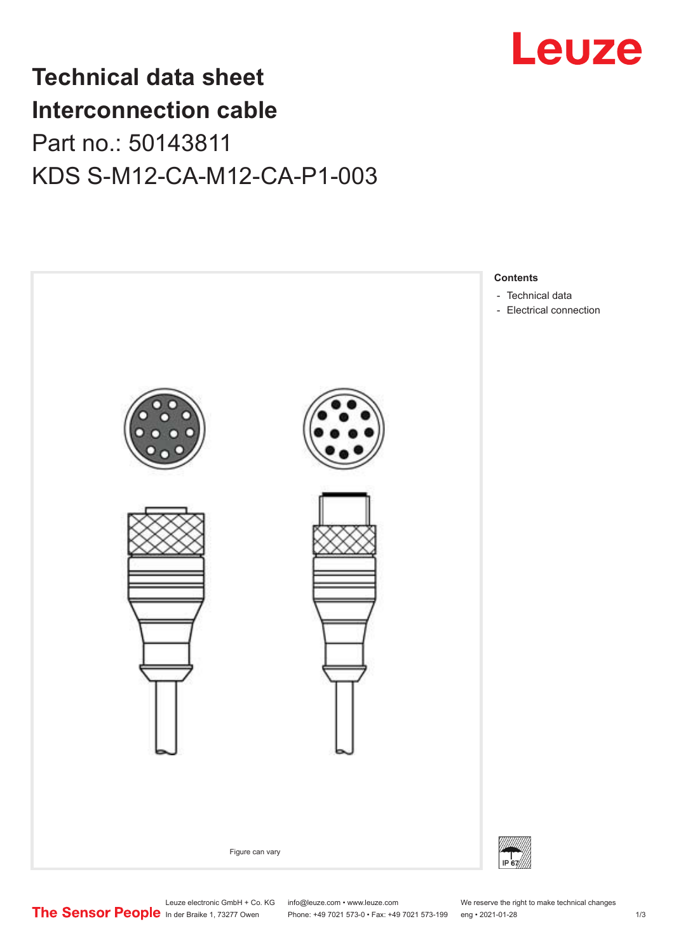

## **Technical data sheet Interconnection cable** Part no.: 50143811 KDS S-M12-CA-M12-CA-P1-003



Leuze electronic GmbH + Co. KG info@leuze.com • www.leuze.com We reserve the right to make technical changes

In der Braike 1, 73277 Owen Phone: +49 7021 573-0 • Fax: +49 7021 573-199 eng • 2021-01-28 1/3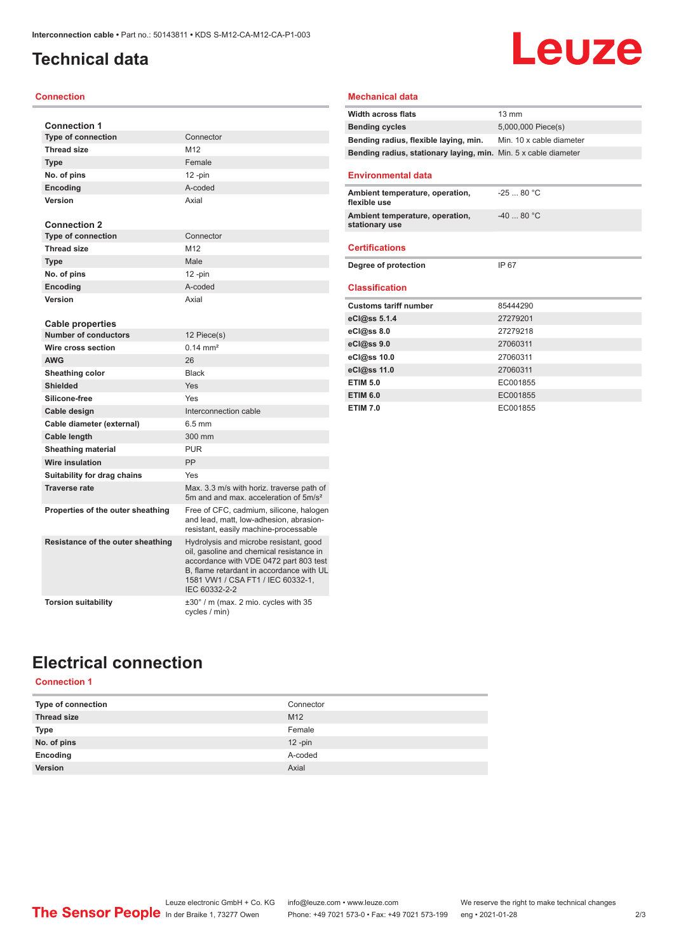## <span id="page-1-0"></span>**Technical data**

#### **Connection**

| <b>Connection 1</b>               |                                                                                                                                                                                                                                |
|-----------------------------------|--------------------------------------------------------------------------------------------------------------------------------------------------------------------------------------------------------------------------------|
| <b>Type of connection</b>         | Connector                                                                                                                                                                                                                      |
| <b>Thread size</b>                | M12                                                                                                                                                                                                                            |
| <b>Type</b>                       | Female                                                                                                                                                                                                                         |
| No. of pins                       | $12$ -pin                                                                                                                                                                                                                      |
| Encoding                          | A-coded                                                                                                                                                                                                                        |
| Version                           | Axial                                                                                                                                                                                                                          |
| <b>Connection 2</b>               |                                                                                                                                                                                                                                |
| <b>Type of connection</b>         | Connector                                                                                                                                                                                                                      |
| <b>Thread size</b>                | M12                                                                                                                                                                                                                            |
| <b>Type</b>                       | Male                                                                                                                                                                                                                           |
| No. of pins                       | $12$ -pin                                                                                                                                                                                                                      |
| Encoding                          | A-coded                                                                                                                                                                                                                        |
| Version                           | Axial                                                                                                                                                                                                                          |
| <b>Cable properties</b>           |                                                                                                                                                                                                                                |
| <b>Number of conductors</b>       | 12 Piece(s)                                                                                                                                                                                                                    |
| Wire cross section                | $0.14 \, \text{mm}^2$                                                                                                                                                                                                          |
| <b>AWG</b>                        | 26                                                                                                                                                                                                                             |
| Sheathing color                   | <b>Black</b>                                                                                                                                                                                                                   |
| <b>Shielded</b>                   | Yes                                                                                                                                                                                                                            |
| Silicone-free                     | Yes                                                                                                                                                                                                                            |
| Cable design                      | Interconnection cable                                                                                                                                                                                                          |
| Cable diameter (external)         | $6.5$ mm                                                                                                                                                                                                                       |
| <b>Cable length</b>               | 300 mm                                                                                                                                                                                                                         |
| <b>Sheathing material</b>         | <b>PUR</b>                                                                                                                                                                                                                     |
| Wire insulation                   | PP                                                                                                                                                                                                                             |
| Suitability for drag chains       | Yes                                                                                                                                                                                                                            |
| <b>Traverse rate</b>              | Max. 3.3 m/s with horiz. traverse path of<br>5m and and max. acceleration of 5m/s <sup>2</sup>                                                                                                                                 |
| Properties of the outer sheathing | Free of CFC, cadmium, silicone, halogen<br>and lead, matt, low-adhesion, abrasion-<br>resistant, easily machine-processable                                                                                                    |
| Resistance of the outer sheathing | Hydrolysis and microbe resistant, good<br>oil, gasoline and chemical resistance in<br>accordance with VDE 0472 part 803 test<br>B. flame retardant in accordance with UL<br>1581 VW1 / CSA FT1 / IEC 60332-1,<br>IEC 60332-2-2 |
| <b>Torsion suitability</b>        | ±30° / m (max. 2 mio. cycles with 35<br>cycles / min)                                                                                                                                                                          |

| <b>Width across flats</b><br>$13 \text{ mm}$<br><b>Bending cycles</b><br>5,000,000 Piece(s)<br>Min. 10 x cable diameter<br>Bending radius, flexible laying, min.<br>Bending radius, stationary laying, min. Min. 5 x cable diameter<br><b>Environmental data</b><br>$-2580 °C$<br>Ambient temperature, operation,<br>flexible use<br>$-4080 °C$<br>Ambient temperature, operation,<br>stationary use<br><b>Certifications</b><br>Degree of protection<br>IP 67<br><b>Classification</b><br><b>Customs tariff number</b><br>85444290<br>eCl@ss 5.1.4<br>27279201<br>eCl@ss 8.0<br>27279218<br>eCl@ss 9.0<br>27060311<br>eCl@ss 10.0<br>27060311<br>eCl@ss 11.0<br>27060311<br><b>ETIM 5.0</b><br>EC001855<br><b>ETIM 6.0</b><br>EC001855 |                 |          |
|-----------------------------------------------------------------------------------------------------------------------------------------------------------------------------------------------------------------------------------------------------------------------------------------------------------------------------------------------------------------------------------------------------------------------------------------------------------------------------------------------------------------------------------------------------------------------------------------------------------------------------------------------------------------------------------------------------------------------------------------|-----------------|----------|
|                                                                                                                                                                                                                                                                                                                                                                                                                                                                                                                                                                                                                                                                                                                                         |                 |          |
|                                                                                                                                                                                                                                                                                                                                                                                                                                                                                                                                                                                                                                                                                                                                         |                 |          |
|                                                                                                                                                                                                                                                                                                                                                                                                                                                                                                                                                                                                                                                                                                                                         |                 |          |
|                                                                                                                                                                                                                                                                                                                                                                                                                                                                                                                                                                                                                                                                                                                                         |                 |          |
|                                                                                                                                                                                                                                                                                                                                                                                                                                                                                                                                                                                                                                                                                                                                         |                 |          |
|                                                                                                                                                                                                                                                                                                                                                                                                                                                                                                                                                                                                                                                                                                                                         |                 |          |
|                                                                                                                                                                                                                                                                                                                                                                                                                                                                                                                                                                                                                                                                                                                                         |                 |          |
|                                                                                                                                                                                                                                                                                                                                                                                                                                                                                                                                                                                                                                                                                                                                         |                 |          |
|                                                                                                                                                                                                                                                                                                                                                                                                                                                                                                                                                                                                                                                                                                                                         |                 |          |
|                                                                                                                                                                                                                                                                                                                                                                                                                                                                                                                                                                                                                                                                                                                                         |                 |          |
|                                                                                                                                                                                                                                                                                                                                                                                                                                                                                                                                                                                                                                                                                                                                         |                 |          |
|                                                                                                                                                                                                                                                                                                                                                                                                                                                                                                                                                                                                                                                                                                                                         |                 |          |
|                                                                                                                                                                                                                                                                                                                                                                                                                                                                                                                                                                                                                                                                                                                                         |                 |          |
|                                                                                                                                                                                                                                                                                                                                                                                                                                                                                                                                                                                                                                                                                                                                         |                 |          |
|                                                                                                                                                                                                                                                                                                                                                                                                                                                                                                                                                                                                                                                                                                                                         |                 |          |
|                                                                                                                                                                                                                                                                                                                                                                                                                                                                                                                                                                                                                                                                                                                                         |                 |          |
|                                                                                                                                                                                                                                                                                                                                                                                                                                                                                                                                                                                                                                                                                                                                         |                 |          |
|                                                                                                                                                                                                                                                                                                                                                                                                                                                                                                                                                                                                                                                                                                                                         |                 |          |
|                                                                                                                                                                                                                                                                                                                                                                                                                                                                                                                                                                                                                                                                                                                                         | <b>ETIM 7.0</b> | EC001855 |

Leuze

**Mechanical data**

## **Electrical connection**

#### **Connection 1**

| Type of connection | Connector       |
|--------------------|-----------------|
| <b>Thread size</b> | M <sub>12</sub> |
| Type               | Female          |
| No. of pins        | $12 - pin$      |
| Encoding           | A-coded         |
| Version            | Axial           |